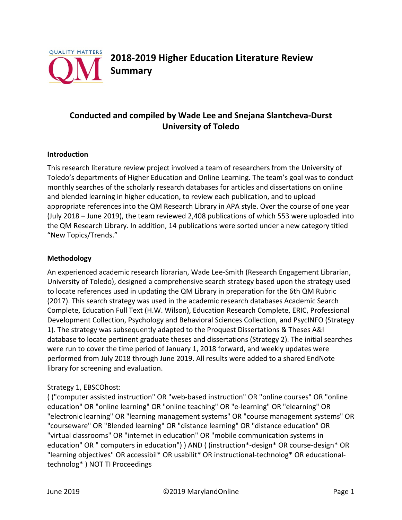

# **Conducted and compiled by Wade Lee and Snejana Slantcheva-Durst University of Toledo**

### **Introduction**

This research literature review project involved a team of researchers from the University of Toledo's departments of Higher Education and Online Learning. The team's goal was to conduct monthly searches of the scholarly research databases for articles and dissertations on online and blended learning in higher education, to review each publication, and to upload appropriate references into the QM Research Library in APA style. Over the course of one year (July 2018 – June 2019), the team reviewed 2,408 publications of which 553 were uploaded into the QM Research Library. In addition, 14 publications were sorted under a new category titled "New Topics/Trends."

### **Methodology**

An experienced academic research librarian, Wade Lee-Smith (Research Engagement Librarian, University of Toledo), designed a comprehensive search strategy based upon the strategy used to locate references used in updating the QM Library in preparation for the 6th QM Rubric (2017). This search strategy was used in the academic research databases Academic Search Complete, Education Full Text (H.W. Wilson), Education Research Complete, ERIC, Professional Development Collection, Psychology and Behavioral Sciences Collection, and PsycINFO (Strategy 1). The strategy was subsequently adapted to the Proquest Dissertations & Theses A&I database to locate pertinent graduate theses and dissertations (Strategy 2). The initial searches were run to cover the time period of January 1, 2018 forward, and weekly updates were performed from July 2018 through June 2019. All results were added to a shared EndNote library for screening and evaluation.

### Strategy 1, EBSCOhost:

( ("computer assisted instruction" OR "web-based instruction" OR "online courses" OR "online education" OR "online learning" OR "online teaching" OR "e-learning" OR "elearning" OR "electronic learning" OR "learning management systems" OR "course management systems" OR "courseware" OR "Blended learning" OR "distance learning" OR "distance education" OR "virtual classrooms" OR "internet in education" OR "mobile communication systems in education" OR " computers in education") ) AND ( (instruction\*-design\* OR course-design\* OR "learning objectives" OR accessibil\* OR usabilit\* OR instructional-technolog\* OR educationaltechnolog\* ) NOT TI Proceedings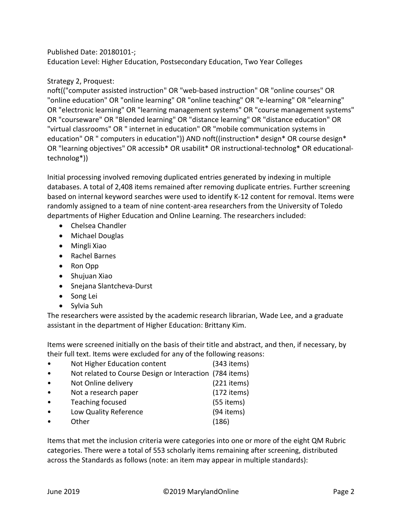# Published Date: 20180101-;

Education Level: Higher Education, Postsecondary Education, Two Year Colleges

## Strategy 2, Proquest:

noft(("computer assisted instruction" OR "web-based instruction" OR "online courses" OR "online education" OR "online learning" OR "online teaching" OR "e-learning" OR "elearning" OR "electronic learning" OR "learning management systems" OR "course management systems" OR "courseware" OR "Blended learning" OR "distance learning" OR "distance education" OR "virtual classrooms" OR " internet in education" OR "mobile communication systems in education" OR " computers in education")) AND noft((instruction\* design\* OR course design\* OR "learning objectives" OR accessib\* OR usabilit\* OR instructional-technolog\* OR educationaltechnolog\*))

Initial processing involved removing duplicated entries generated by indexing in multiple databases. A total of 2,408 items remained after removing duplicate entries. Further screening based on internal keyword searches were used to identify K-12 content for removal. Items were randomly assigned to a team of nine content-area researchers from the University of Toledo departments of Higher Education and Online Learning. The researchers included:

- Chelsea Chandler
- Michael Douglas
- Mingli Xiao
- Rachel Barnes
- Ron Opp
- Shujuan Xiao
- Snejana Slantcheva-Durst
- Song Lei
- Sylvia Suh

The researchers were assisted by the academic research librarian, Wade Lee, and a graduate assistant in the department of Higher Education: Brittany Kim.

Items were screened initially on the basis of their title and abstract, and then, if necessary, by their full text. Items were excluded for any of the following reasons:

Not Higher Education content (343 items) • Not related to Course Design or Interaction (784 items) • Not Online delivery (221 items) • Not a research paper (172 items) • Teaching focused (55 items) • Low Quality Reference (94 items) • Other (186)

Items that met the inclusion criteria were categories into one or more of the eight QM Rubric categories. There were a total of 553 scholarly items remaining after screening, distributed across the Standards as follows (note: an item may appear in multiple standards):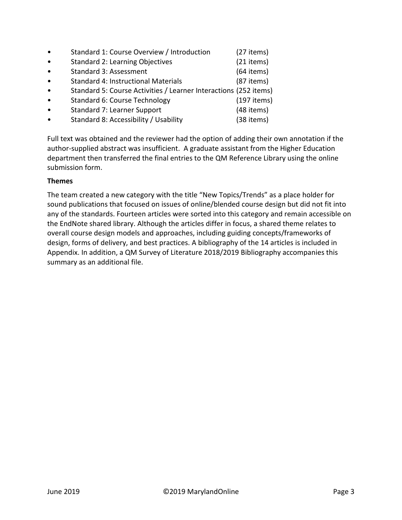| $\bullet$ | Standard 1: Course Overview / Introduction                       | (27 items)  |
|-----------|------------------------------------------------------------------|-------------|
| $\bullet$ | <b>Standard 2: Learning Objectives</b>                           | (21 items)  |
| $\bullet$ | Standard 3: Assessment                                           | (64 items)  |
| $\bullet$ | <b>Standard 4: Instructional Materials</b>                       | (87 items)  |
| $\bullet$ | Standard 5: Course Activities / Learner Interactions (252 items) |             |
| $\bullet$ | Standard 6: Course Technology                                    | (197 items) |
| $\bullet$ | Standard 7: Learner Support                                      | (48 items)  |
| $\bullet$ | Standard 8: Accessibility / Usability                            | (38 items)  |

Full text was obtained and the reviewer had the option of adding their own annotation if the author-supplied abstract was insufficient. A graduate assistant from the Higher Education department then transferred the final entries to the QM Reference Library using the online submission form.

### **Themes**

The team created a new category with the title "New Topics/Trends" as a place holder for sound publications that focused on issues of online/blended course design but did not fit into any of the standards. Fourteen articles were sorted into this category and remain accessible on the EndNote shared library. Although the articles differ in focus, a shared theme relates to overall course design models and approaches, including guiding concepts/frameworks of design, forms of delivery, and best practices. A bibliography of the 14 articles is included in Appendix. In addition, a QM Survey of Literature 2018/2019 Bibliography accompanies this summary as an additional file.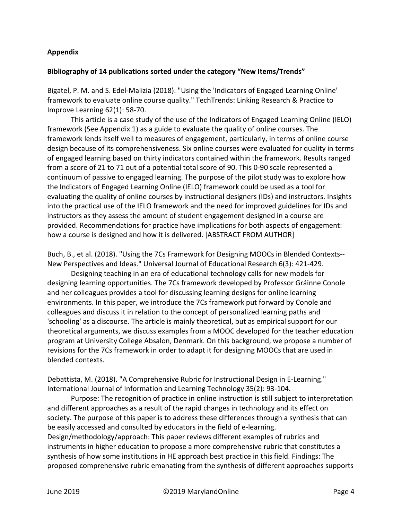### **Appendix**

### **Bibliography of 14 publications sorted under the category "New Items/Trends"**

Bigatel, P. M. and S. Edel-Malizia (2018). "Using the 'Indicators of Engaged Learning Online' framework to evaluate online course quality." TechTrends: Linking Research & Practice to Improve Learning 62(1): 58-70.

This article is a case study of the use of the Indicators of Engaged Learning Online (IELO) framework (See Appendix 1) as a guide to evaluate the quality of online courses. The framework lends itself well to measures of engagement, particularly, in terms of online course design because of its comprehensiveness. Six online courses were evaluated for quality in terms of engaged learning based on thirty indicators contained within the framework. Results ranged from a score of 21 to 71 out of a potential total score of 90. This 0-90 scale represented a continuum of passive to engaged learning. The purpose of the pilot study was to explore how the Indicators of Engaged Learning Online (IELO) framework could be used as a tool for evaluating the quality of online courses by instructional designers (IDs) and instructors. Insights into the practical use of the IELO framework and the need for improved guidelines for IDs and instructors as they assess the amount of student engagement designed in a course are provided. Recommendations for practice have implications for both aspects of engagement: how a course is designed and how it is delivered. [ABSTRACT FROM AUTHOR]

Buch, B., et al. (2018). "Using the 7Cs Framework for Designing MOOCs in Blended Contexts-- New Perspectives and Ideas." Universal Journal of Educational Research 6(3): 421-429.

Designing teaching in an era of educational technology calls for new models for designing learning opportunities. The 7Cs framework developed by Professor Gráinne Conole and her colleagues provides a tool for discussing learning designs for online learning environments. In this paper, we introduce the 7Cs framework put forward by Conole and colleagues and discuss it in relation to the concept of personalized learning paths and 'schooling' as a discourse. The article is mainly theoretical, but as empirical support for our theoretical arguments, we discuss examples from a MOOC developed for the teacher education program at University College Absalon, Denmark. On this background, we propose a number of revisions for the 7Cs framework in order to adapt it for designing MOOCs that are used in blended contexts.

Debattista, M. (2018). "A Comprehensive Rubric for Instructional Design in E-Learning." International Journal of Information and Learning Technology 35(2): 93-104.

Purpose: The recognition of practice in online instruction is still subject to interpretation and different approaches as a result of the rapid changes in technology and its effect on society. The purpose of this paper is to address these differences through a synthesis that can be easily accessed and consulted by educators in the field of e-learning. Design/methodology/approach: This paper reviews different examples of rubrics and instruments in higher education to propose a more comprehensive rubric that constitutes a synthesis of how some institutions in HE approach best practice in this field. Findings: The proposed comprehensive rubric emanating from the synthesis of different approaches supports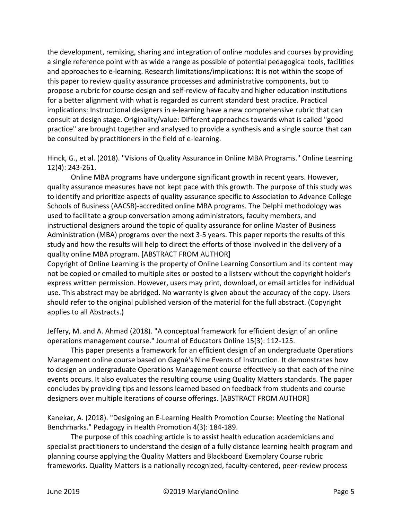the development, remixing, sharing and integration of online modules and courses by providing a single reference point with as wide a range as possible of potential pedagogical tools, facilities and approaches to e-learning. Research limitations/implications: It is not within the scope of this paper to review quality assurance processes and administrative components, but to propose a rubric for course design and self-review of faculty and higher education institutions for a better alignment with what is regarded as current standard best practice. Practical implications: Instructional designers in e-learning have a new comprehensive rubric that can consult at design stage. Originality/value: Different approaches towards what is called "good practice" are brought together and analysed to provide a synthesis and a single source that can be consulted by practitioners in the field of e-learning.

Hinck, G., et al. (2018). "Visions of Quality Assurance in Online MBA Programs." Online Learning 12(4): 243-261.

Online MBA programs have undergone significant growth in recent years. However, quality assurance measures have not kept pace with this growth. The purpose of this study was to identify and prioritize aspects of quality assurance specific to Association to Advance College Schools of Business (AACSB)-accredited online MBA programs. The Delphi methodology was used to facilitate a group conversation among administrators, faculty members, and instructional designers around the topic of quality assurance for online Master of Business Administration (MBA) programs over the next 3-5 years. This paper reports the results of this study and how the results will help to direct the efforts of those involved in the delivery of a quality online MBA program. [ABSTRACT FROM AUTHOR]

Copyright of Online Learning is the property of Online Learning Consortium and its content may not be copied or emailed to multiple sites or posted to a listserv without the copyright holder's express written permission. However, users may print, download, or email articles for individual use. This abstract may be abridged. No warranty is given about the accuracy of the copy. Users should refer to the original published version of the material for the full abstract. (Copyright applies to all Abstracts.)

Jeffery, M. and A. Ahmad (2018). "A conceptual framework for efficient design of an online operations management course." Journal of Educators Online 15(3): 112-125.

This paper presents a framework for an efficient design of an undergraduate Operations Management online course based on Gagné's Nine Events of Instruction. It demonstrates how to design an undergraduate Operations Management course effectively so that each of the nine events occurs. It also evaluates the resulting course using Quality Matters standards. The paper concludes by providing tips and lessons learned based on feedback from students and course designers over multiple iterations of course offerings. [ABSTRACT FROM AUTHOR]

Kanekar, A. (2018). "Designing an E-Learning Health Promotion Course: Meeting the National Benchmarks." Pedagogy in Health Promotion 4(3): 184-189.

The purpose of this coaching article is to assist health education academicians and specialist practitioners to understand the design of a fully distance learning health program and planning course applying the Quality Matters and Blackboard Exemplary Course rubric frameworks. Quality Matters is a nationally recognized, faculty-centered, peer-review process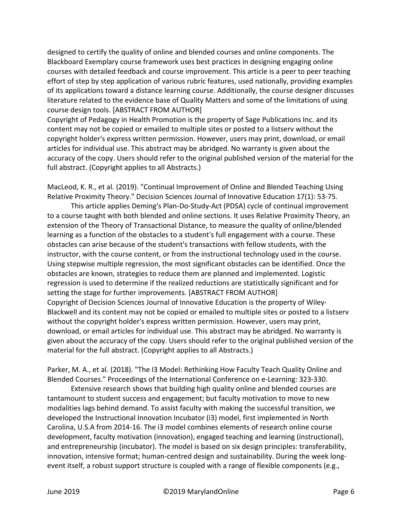designed to certify the quality of online and blended courses and online components. The Blackboard Exemplary course framework uses best practices in designing engaging online courses with detailed feedback and course improvement. This article is a peer to peer teaching effort of step by step application of various rubric features, used nationally, providing examples of its applications toward a distance learning course. Additionally, the course designer discusses literature related to the evidence base of Quality Matters and some of the limitations of using course design tools. [ABSTRACT FROM AUTHOR]

Copyright of Pedagogy in Health Promotion is the property of Sage Publications Inc. and its content may not be copied or emailed to multiple sites or posted to a listserv without the copyright holder's express written permission. However, users may print, download, or email articles for individual use. This abstract may be abridged. No warranty is given about the accuracy of the copy. Users should refer to the original published version of the material for the full abstract. (Copyright applies to all Abstracts.)

MacLeod, K. R., et al. (2019). "Continual Improvement of Online and Blended Teaching Using Relative Proximity Theory." Decision Sciences Journal of Innovative Education 17(1): 53-75.

This article applies Deming's Plan-Do-Study-Act (PDSA) cycle of continual improvement to a course taught with both blended and online sections. It uses Relative Proximity Theory, an extension of the Theory of Transactional Distance, to measure the quality of online/blended learning as a function of the obstacles to a student's full engagement with a course. These obstacles can arise because of the student's transactions with fellow students, with the instructor, with the course content, or from the instructional technology used in the course. Using stepwise multiple regression, the most significant obstacles can be identified. Once the obstacles are known, strategies to reduce them are planned and implemented. Logistic regression is used to determine if the realized reductions are statistically significant and for setting the stage for further improvements. [ABSTRACT FROM AUTHOR] Copyright of Decision Sciences Journal of Innovative Education is the property of Wiley-Blackwell and its content may not be copied or emailed to multiple sites or posted to a listserv without the copyright holder's express written permission. However, users may print, download, or email articles for individual use. This abstract may be abridged. No warranty is given about the accuracy of the copy. Users should refer to the original published version of the material for the full abstract. (Copyright applies to all Abstracts.)

Parker, M. A., et al. (2018). "The I3 Model: Rethinking How Faculty Teach Quality Online and Blended Courses." Proceedings of the International Conference on e-Learning: 323-330.

Extensive research shows that building high quality online and blended courses are tantamount to student success and engagement; but faculty motivation to move to new modalities lags behind demand. To assist faculty with making the successful transition, we developed the Instructional Innovation Incubator (i3) model, first implemented in North Carolina, U.S.A from 2014-16. The i3 model combines elements of research online course development, faculty motivation (innovation), engaged teaching and learning (instructional), and entrepreneurship (incubator). The model is based on six design principles: transferability, innovation, intensive format; human-centred design and sustainability. During the week longevent itself, a robust support structure is coupled with a range of flexible components (e.g.,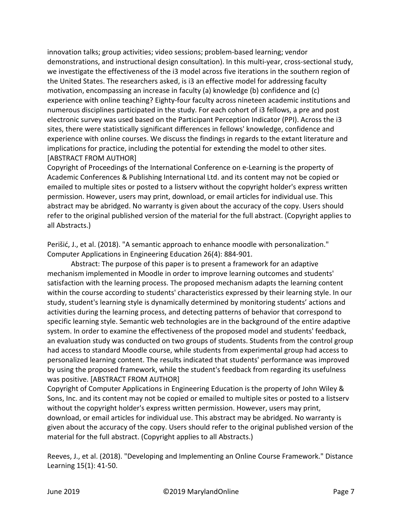innovation talks; group activities; video sessions; problem-based learning; vendor demonstrations, and instructional design consultation). In this multi-year, cross-sectional study, we investigate the effectiveness of the i3 model across five iterations in the southern region of the United States. The researchers asked, is i3 an effective model for addressing faculty motivation, encompassing an increase in faculty (a) knowledge (b) confidence and (c) experience with online teaching? Eighty-four faculty across nineteen academic institutions and numerous disciplines participated in the study. For each cohort of i3 fellows, a pre and post electronic survey was used based on the Participant Perception Indicator (PPI). Across the i3 sites, there were statistically significant differences in fellows' knowledge, confidence and experience with online courses. We discuss the findings in regards to the extant literature and implications for practice, including the potential for extending the model to other sites. [ABSTRACT FROM AUTHOR]

Copyright of Proceedings of the International Conference on e-Learning is the property of Academic Conferences & Publishing International Ltd. and its content may not be copied or emailed to multiple sites or posted to a listserv without the copyright holder's express written permission. However, users may print, download, or email articles for individual use. This abstract may be abridged. No warranty is given about the accuracy of the copy. Users should refer to the original published version of the material for the full abstract. (Copyright applies to all Abstracts.)

Perišić, J., et al. (2018). "A semantic approach to enhance moodle with personalization." Computer Applications in Engineering Education 26(4): 884-901.

Abstract: The purpose of this paper is to present a framework for an adaptive mechanism implemented in Moodle in order to improve learning outcomes and students' satisfaction with the learning process. The proposed mechanism adapts the learning content within the course according to students' characteristics expressed by their learning style. In our study, student's learning style is dynamically determined by monitoring students' actions and activities during the learning process, and detecting patterns of behavior that correspond to specific learning style. Semantic web technologies are in the background of the entire adaptive system. In order to examine the effectiveness of the proposed model and students' feedback, an evaluation study was conducted on two groups of students. Students from the control group had access to standard Moodle course, while students from experimental group had access to personalized learning content. The results indicated that students' performance was improved by using the proposed framework, while the student's feedback from regarding its usefulness was positive. [ABSTRACT FROM AUTHOR]

Copyright of Computer Applications in Engineering Education is the property of John Wiley & Sons, Inc. and its content may not be copied or emailed to multiple sites or posted to a listserv without the copyright holder's express written permission. However, users may print, download, or email articles for individual use. This abstract may be abridged. No warranty is given about the accuracy of the copy. Users should refer to the original published version of the material for the full abstract. (Copyright applies to all Abstracts.)

Reeves, J., et al. (2018). "Developing and Implementing an Online Course Framework." Distance Learning 15(1): 41-50.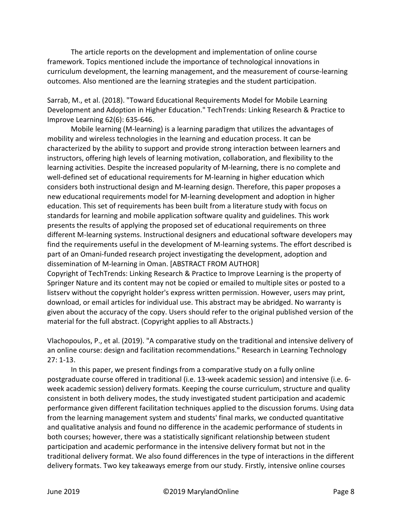The article reports on the development and implementation of online course framework. Topics mentioned include the importance of technological innovations in curriculum development, the learning management, and the measurement of course-learning outcomes. Also mentioned are the learning strategies and the student participation.

Sarrab, M., et al. (2018). "Toward Educational Requirements Model for Mobile Learning Development and Adoption in Higher Education." TechTrends: Linking Research & Practice to Improve Learning 62(6): 635-646.

Mobile learning (M-learning) is a learning paradigm that utilizes the advantages of mobility and wireless technologies in the learning and education process. It can be characterized by the ability to support and provide strong interaction between learners and instructors, offering high levels of learning motivation, collaboration, and flexibility to the learning activities. Despite the increased popularity of M-learning, there is no complete and well-defined set of educational requirements for M-learning in higher education which considers both instructional design and M-learning design. Therefore, this paper proposes a new educational requirements model for M-learning development and adoption in higher education. This set of requirements has been built from a literature study with focus on standards for learning and mobile application software quality and guidelines. This work presents the results of applying the proposed set of educational requirements on three different M-learning systems. Instructional designers and educational software developers may find the requirements useful in the development of M-learning systems. The effort described is part of an Omani-funded research project investigating the development, adoption and dissemination of M-learning in Oman. [ABSTRACT FROM AUTHOR] Copyright of TechTrends: Linking Research & Practice to Improve Learning is the property of Springer Nature and its content may not be copied or emailed to multiple sites or posted to a listserv without the copyright holder's express written permission. However, users may print,

download, or email articles for individual use. This abstract may be abridged. No warranty is given about the accuracy of the copy. Users should refer to the original published version of the material for the full abstract. (Copyright applies to all Abstracts.)

Vlachopoulos, P., et al. (2019). "A comparative study on the traditional and intensive delivery of an online course: design and facilitation recommendations." Research in Learning Technology 27: 1-13.

In this paper, we present findings from a comparative study on a fully online postgraduate course offered in traditional (i.e. 13-week academic session) and intensive (i.e. 6 week academic session) delivery formats. Keeping the course curriculum, structure and quality consistent in both delivery modes, the study investigated student participation and academic performance given different facilitation techniques applied to the discussion forums. Using data from the learning management system and students' final marks, we conducted quantitative and qualitative analysis and found no difference in the academic performance of students in both courses; however, there was a statistically significant relationship between student participation and academic performance in the intensive delivery format but not in the traditional delivery format. We also found differences in the type of interactions in the different delivery formats. Two key takeaways emerge from our study. Firstly, intensive online courses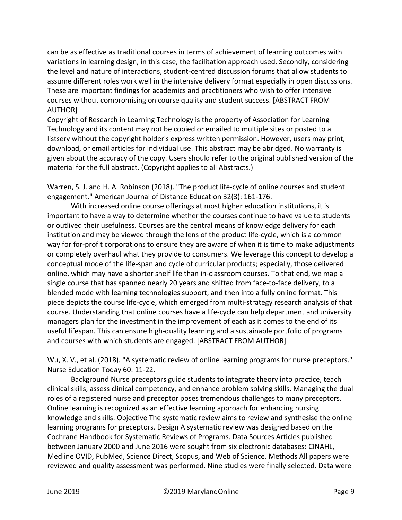can be as effective as traditional courses in terms of achievement of learning outcomes with variations in learning design, in this case, the facilitation approach used. Secondly, considering the level and nature of interactions, student-centred discussion forums that allow students to assume different roles work well in the intensive delivery format especially in open discussions. These are important findings for academics and practitioners who wish to offer intensive courses without compromising on course quality and student success. [ABSTRACT FROM AUTHOR]

Copyright of Research in Learning Technology is the property of Association for Learning Technology and its content may not be copied or emailed to multiple sites or posted to a listserv without the copyright holder's express written permission. However, users may print, download, or email articles for individual use. This abstract may be abridged. No warranty is given about the accuracy of the copy. Users should refer to the original published version of the material for the full abstract. (Copyright applies to all Abstracts.)

Warren, S. J. and H. A. Robinson (2018). "The product life-cycle of online courses and student engagement." American Journal of Distance Education 32(3): 161-176.

With increased online course offerings at most higher education institutions, it is important to have a way to determine whether the courses continue to have value to students or outlived their usefulness. Courses are the central means of knowledge delivery for each institution and may be viewed through the lens of the product life-cycle, which is a common way for for-profit corporations to ensure they are aware of when it is time to make adjustments or completely overhaul what they provide to consumers. We leverage this concept to develop a conceptual mode of the life-span and cycle of curricular products; especially, those delivered online, which may have a shorter shelf life than in-classroom courses. To that end, we map a single course that has spanned nearly 20 years and shifted from face-to-face delivery, to a blended mode with learning technologies support, and then into a fully online format. This piece depicts the course life-cycle, which emerged from multi-strategy research analysis of that course. Understanding that online courses have a life-cycle can help department and university managers plan for the investment in the improvement of each as it comes to the end of its useful lifespan. This can ensure high-quality learning and a sustainable portfolio of programs and courses with which students are engaged. [ABSTRACT FROM AUTHOR]

Wu, X. V., et al. (2018). "A systematic review of online learning programs for nurse preceptors." Nurse Education Today 60: 11-22.

Background Nurse preceptors guide students to integrate theory into practice, teach clinical skills, assess clinical competency, and enhance problem solving skills. Managing the dual roles of a registered nurse and preceptor poses tremendous challenges to many preceptors. Online learning is recognized as an effective learning approach for enhancing nursing knowledge and skills. Objective The systematic review aims to review and synthesise the online learning programs for preceptors. Design A systematic review was designed based on the Cochrane Handbook for Systematic Reviews of Programs. Data Sources Articles published between January 2000 and June 2016 were sought from six electronic databases: CINAHL, Medline OVID, PubMed, Science Direct, Scopus, and Web of Science. Methods All papers were reviewed and quality assessment was performed. Nine studies were finally selected. Data were